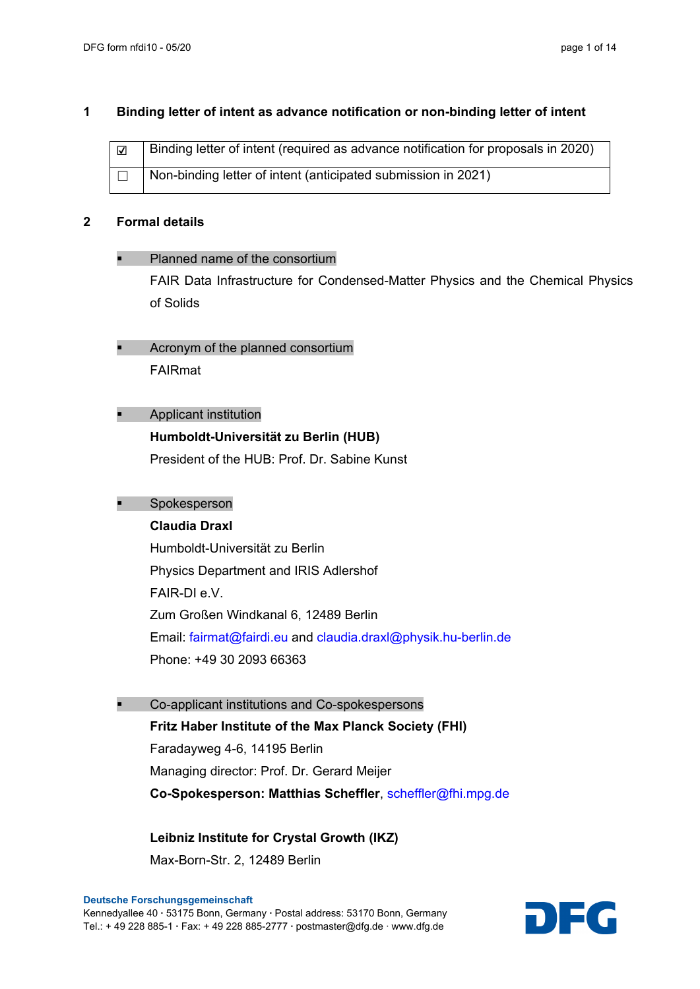#### **1 Binding letter of intent as advance notification or non-binding letter of intent**

| $\overline{\mathbf{v}}$ | Binding letter of intent (required as advance notification for proposals in 2020) |
|-------------------------|-----------------------------------------------------------------------------------|
|                         | Non-binding letter of intent (anticipated submission in 2021)                     |

#### **2 Formal details**

#### Planned name of the consortium

FAIR Data Infrastructure for Condensed-Matter Physics and the Chemical Physics of Solids

- Acronym of the planned consortium FAIRmat
- Applicant institution

#### **Humboldt-Universität zu Berlin (HUB)**

President of the HUB: Prof. Dr. Sabine Kunst

# Spokesperson

# **Claudia Draxl**

Humboldt-Universität zu Berlin Physics Department and IRIS Adlershof FAIR-DI e.V. Zum Großen Windkanal 6, 12489 Berlin Email: [fairmat@fairdi.eu](mailto:fairmat@fairdi.eu) and [claudia.draxl@physik.hu-berlin.de](mailto:claudia.draxl@physik.hu-berlin.de) Phone: +49 30 2093 66363

Co-applicant institutions and Co-spokespersons

**Fritz Haber Institute of the Max Planck Society (FHI)** Faradayweg 4-6, 14195 Berlin Managing director: Prof. Dr. Gerard Meijer **Co-Spokesperson: Matthias Scheffler**, [scheffler@fhi.mpg.de](mailto:scheffler@fhi.mpg.de)

**Leibniz Institute for Crystal Growth (IKZ)** Max-Born-Str. 2, 12489 Berlin

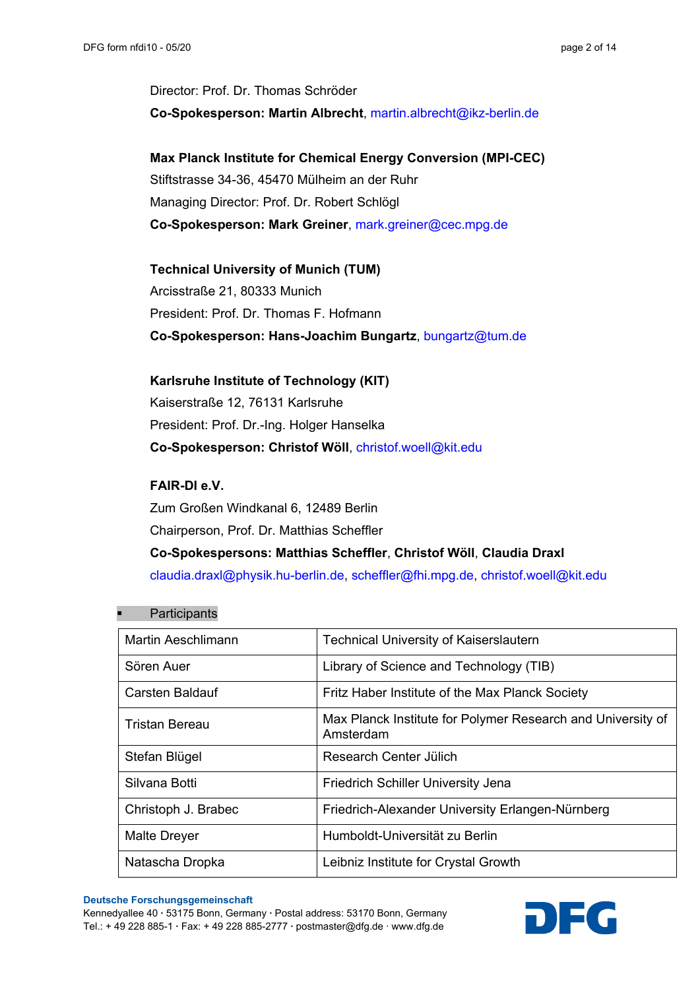Director: Prof. Dr. Thomas Schröder **Co-Spokesperson: Martin Albrecht**, [martin.albrecht@ikz-berlin.de](mailto:martin.albrecht@ikz-berlin.de)

**Max Planck Institute for Chemical Energy Conversion (MPI-CEC)** Stiftstrasse 34-36, 45470 Mülheim an der Ruhr Managing Director: Prof. Dr. Robert Schlögl **Co-Spokesperson: Mark Greiner**, [mark.greiner@cec.mpg.de](mailto:mark.greiner@cec.mpg.de)

**Technical University of Munich (TUM)** Arcisstraße 21, 80333 Munich President: Prof. Dr. Thomas F. Hofmann **Co-Spokesperson: Hans-Joachim Bungartz**, [bungartz@tum.de](mailto:bungartz@tum.de)

# **Karlsruhe Institute of Technology (KIT)**

Kaiserstraße 12, 76131 Karlsruhe President: Prof. Dr.-Ing. Holger Hanselka **Co-Spokesperson: Christof Wöll**, [christof.woell@kit.edu](mailto:christof.woell@kit.edu)

# **FAIR-DI e.V.**

Zum Großen Windkanal 6, 12489 Berlin Chairperson, Prof. Dr. Matthias Scheffler **Co-Spokespersons: Matthias Scheffler**, **Christof Wöll**, **Claudia Draxl** [claudia.draxl@physik.hu-berlin.de,](mailto:claudia.draxl@physik.hu-berlin.de) [scheffler@fhi.mpg.de,](mailto:scheffler@fhi.mpg.de) [christof.woell@kit.edu](mailto:christof.woell@kit.edu)

| <b>Martin Aeschlimann</b> | <b>Technical University of Kaiserslautern</b>                            |
|---------------------------|--------------------------------------------------------------------------|
| Sören Auer                | Library of Science and Technology (TIB)                                  |
| <b>Carsten Baldauf</b>    | Fritz Haber Institute of the Max Planck Society                          |
| Tristan Bereau            | Max Planck Institute for Polymer Research and University of<br>Amsterdam |
| Stefan Blügel             | Research Center Jülich                                                   |
| Silvana Botti             | <b>Friedrich Schiller University Jena</b>                                |
| Christoph J. Brabec       | Friedrich-Alexander University Erlangen-Nürnberg                         |
| <b>Malte Dreyer</b>       | Humboldt-Universität zu Berlin                                           |
| Natascha Dropka           | Leibniz Institute for Crystal Growth                                     |

#### **Participants**

**Deutsche Forschungsgemeinschaft**

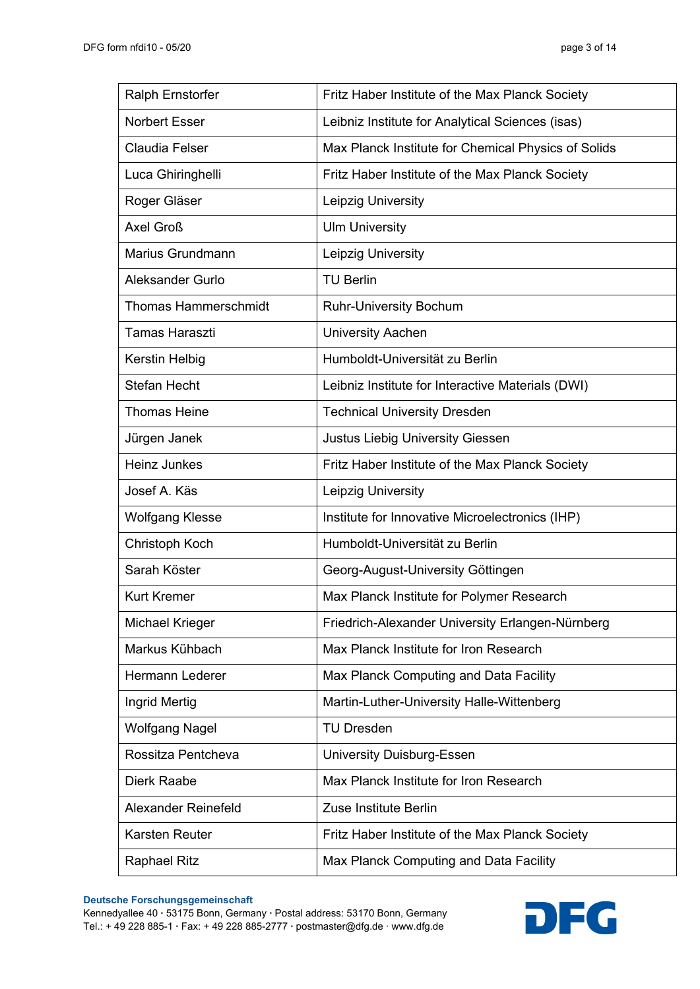| <b>Ralph Ernstorfer</b>     | Fritz Haber Institute of the Max Planck Society     |
|-----------------------------|-----------------------------------------------------|
| <b>Norbert Esser</b>        | Leibniz Institute for Analytical Sciences (isas)    |
| <b>Claudia Felser</b>       | Max Planck Institute for Chemical Physics of Solids |
| Luca Ghiringhelli           | Fritz Haber Institute of the Max Planck Society     |
| Roger Gläser                | Leipzig University                                  |
| Axel Groß                   | <b>Ulm University</b>                               |
| Marius Grundmann            | Leipzig University                                  |
| Aleksander Gurlo            | <b>TU Berlin</b>                                    |
| <b>Thomas Hammerschmidt</b> | <b>Ruhr-University Bochum</b>                       |
| <b>Tamas Haraszti</b>       | <b>University Aachen</b>                            |
| Kerstin Helbig              | Humboldt-Universität zu Berlin                      |
| <b>Stefan Hecht</b>         | Leibniz Institute for Interactive Materials (DWI)   |
| <b>Thomas Heine</b>         | <b>Technical University Dresden</b>                 |
| Jürgen Janek                | <b>Justus Liebig University Giessen</b>             |
| <b>Heinz Junkes</b>         | Fritz Haber Institute of the Max Planck Society     |
|                             |                                                     |
| Josef A. Käs                | Leipzig University                                  |
| <b>Wolfgang Klesse</b>      | Institute for Innovative Microelectronics (IHP)     |
| Christoph Koch              | Humboldt-Universität zu Berlin                      |
| Sarah Köster                | Georg-August-University Göttingen                   |
| <b>Kurt Kremer</b>          | Max Planck Institute for Polymer Research           |
| <b>Michael Krieger</b>      | Friedrich-Alexander University Erlangen-Nürnberg    |
| Markus Kühbach              | Max Planck Institute for Iron Research              |
| <b>Hermann Lederer</b>      | Max Planck Computing and Data Facility              |
| Ingrid Mertig               | Martin-Luther-University Halle-Wittenberg           |
| <b>Wolfgang Nagel</b>       | <b>TU Dresden</b>                                   |
| Rossitza Pentcheva          | <b>University Duisburg-Essen</b>                    |
| <b>Dierk Raabe</b>          | Max Planck Institute for Iron Research              |
| <b>Alexander Reinefeld</b>  | Zuse Institute Berlin                               |
| Karsten Reuter              | Fritz Haber Institute of the Max Planck Society     |

**Deutsche Forschungsgemeinschaft**

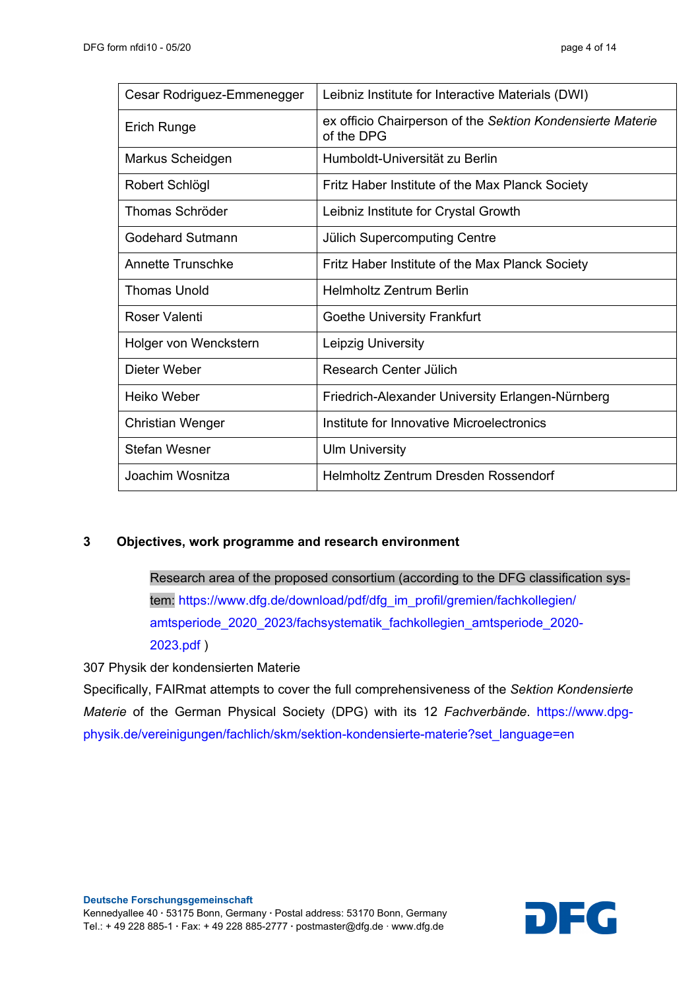| Cesar Rodriguez-Emmenegger | Leibniz Institute for Interactive Materials (DWI)                        |
|----------------------------|--------------------------------------------------------------------------|
| Erich Runge                | ex officio Chairperson of the Sektion Kondensierte Materie<br>of the DPG |
| Markus Scheidgen           | Humboldt-Universität zu Berlin                                           |
| Robert Schlögl             | Fritz Haber Institute of the Max Planck Society                          |
| Thomas Schröder            | Leibniz Institute for Crystal Growth                                     |
| Godehard Sutmann           | <b>Jülich Supercomputing Centre</b>                                      |
| Annette Trunschke          | Fritz Haber Institute of the Max Planck Society                          |
| <b>Thomas Unold</b>        | <b>Helmholtz Zentrum Berlin</b>                                          |
| Roser Valenti              | <b>Goethe University Frankfurt</b>                                       |
| Holger von Wenckstern      | Leipzig University                                                       |
| Dieter Weber               | Research Center Jülich                                                   |
| Heiko Weber                | Friedrich-Alexander University Erlangen-Nürnberg                         |
| <b>Christian Wenger</b>    | Institute for Innovative Microelectronics                                |
| <b>Stefan Wesner</b>       | <b>Ulm University</b>                                                    |
| Joachim Wosnitza           | Helmholtz Zentrum Dresden Rossendorf                                     |

# **3 Objectives, work programme and research environment**

Research area of the proposed consortium (according to the DFG classification system: [https://www.dfg.de/download/pdf/dfg\\_im\\_profil/gremien/fachkollegien/](https://www.dfg.de/download/pdf/dfg_im_profil/gremien/fachkollegien/%20amtsperiode_2020_2023/fachsystematik_fachkollegien_amtsperiode_2020-2023.pdf)  [amtsperiode\\_2020\\_2023/fachsystematik\\_fachkollegien\\_amtsperiode\\_2020-](https://www.dfg.de/download/pdf/dfg_im_profil/gremien/fachkollegien/%20amtsperiode_2020_2023/fachsystematik_fachkollegien_amtsperiode_2020-2023.pdf) [2023.pdf](https://www.dfg.de/download/pdf/dfg_im_profil/gremien/fachkollegien/%20amtsperiode_2020_2023/fachsystematik_fachkollegien_amtsperiode_2020-2023.pdf) )

307 Physik der kondensierten Materie

Specifically, FAIRmat attempts to cover the full comprehensiveness of the *Sektion Kondensierte Materie* of the German Physical Society (DPG) with its 12 *Fachverbände*. [https://www.dpg](https://www.dpg-physik.de/vereinigungen/fachlich/skm/sektion-kondensierte-materie?set_language=en)[physik.de/vereinigungen/fachlich/skm/sektion-kondensierte-materie?set\\_language=en](https://www.dpg-physik.de/vereinigungen/fachlich/skm/sektion-kondensierte-materie?set_language=en)

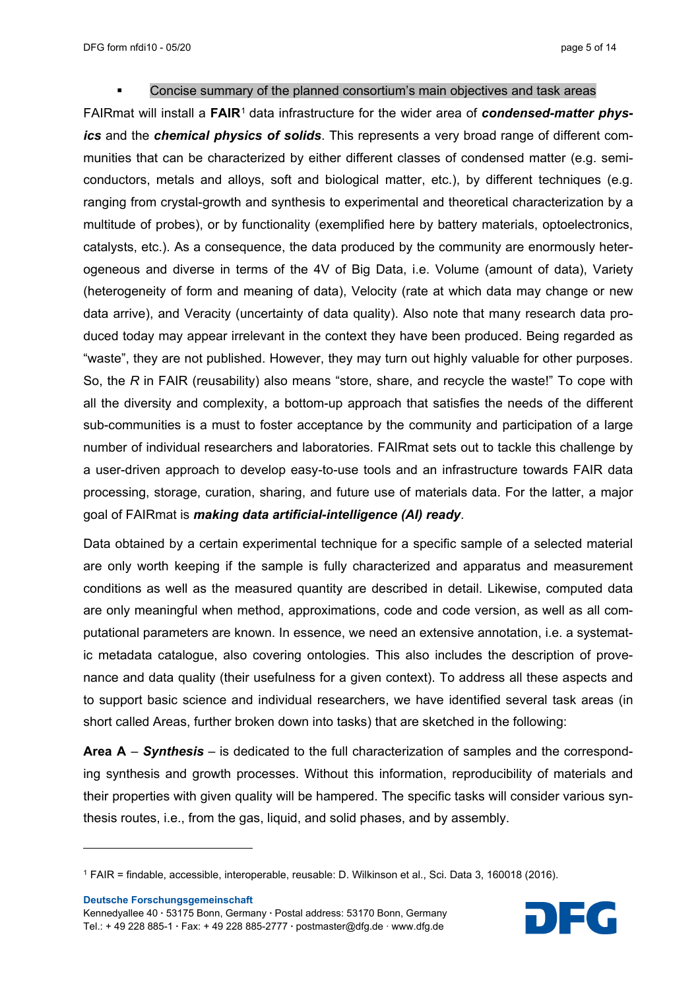DFG form nfdi10 - 05/20 page 5 of 14

#### Concise summary of the planned consortium's main objectives and task areas

FAIRmat will install a **FAIR**[1](#page-4-0) data infrastructure for the wider area of *condensed-matter physics* and the *chemical physics of solids*. This represents a very broad range of different communities that can be characterized by either different classes of condensed matter (e.g. semiconductors, metals and alloys, soft and biological matter, etc.), by different techniques (e.g. ranging from crystal-growth and synthesis to experimental and theoretical characterization by a multitude of probes), or by functionality (exemplified here by battery materials, optoelectronics, catalysts, etc.). As a consequence, the data produced by the community are enormously heterogeneous and diverse in terms of the 4V of Big Data, i.e. Volume (amount of data), Variety (heterogeneity of form and meaning of data), Velocity (rate at which data may change or new data arrive), and Veracity (uncertainty of data quality). Also note that many research data produced today may appear irrelevant in the context they have been produced. Being regarded as "waste", they are not published. However, they may turn out highly valuable for other purposes. So, the *R* in FAIR (reusability) also means "store, share, and recycle the waste!" To cope with all the diversity and complexity, a bottom-up approach that satisfies the needs of the different sub-communities is a must to foster acceptance by the community and participation of a large number of individual researchers and laboratories. FAIRmat sets out to tackle this challenge by a user-driven approach to develop easy-to-use tools and an infrastructure towards FAIR data processing, storage, curation, sharing, and future use of materials data. For the latter, a major goal of FAIRmat is *making data artificial-intelligence (AI) ready*.

Data obtained by a certain experimental technique for a specific sample of a selected material are only worth keeping if the sample is fully characterized and apparatus and measurement conditions as well as the measured quantity are described in detail. Likewise, computed data are only meaningful when method, approximations, code and code version, as well as all computational parameters are known. In essence, we need an extensive annotation, i.e. a systematic metadata catalogue, also covering ontologies. This also includes the description of provenance and data quality (their usefulness for a given context). To address all these aspects and to support basic science and individual researchers, we have identified several task areas (in short called Areas, further broken down into tasks) that are sketched in the following:

**Area A** – *Synthesis* – is dedicated to the full characterization of samples and the corresponding synthesis and growth processes. Without this information, reproducibility of materials and their properties with given quality will be hampered. The specific tasks will consider various synthesis routes, i.e., from the gas, liquid, and solid phases, and by assembly.

**Deutsche Forschungsgemeinschaft**



<span id="page-4-0"></span><sup>1</sup> FAIR = findable, accessible, interoperable, reusable: D. Wilkinson et al., Sci. Data 3, 160018 (2016).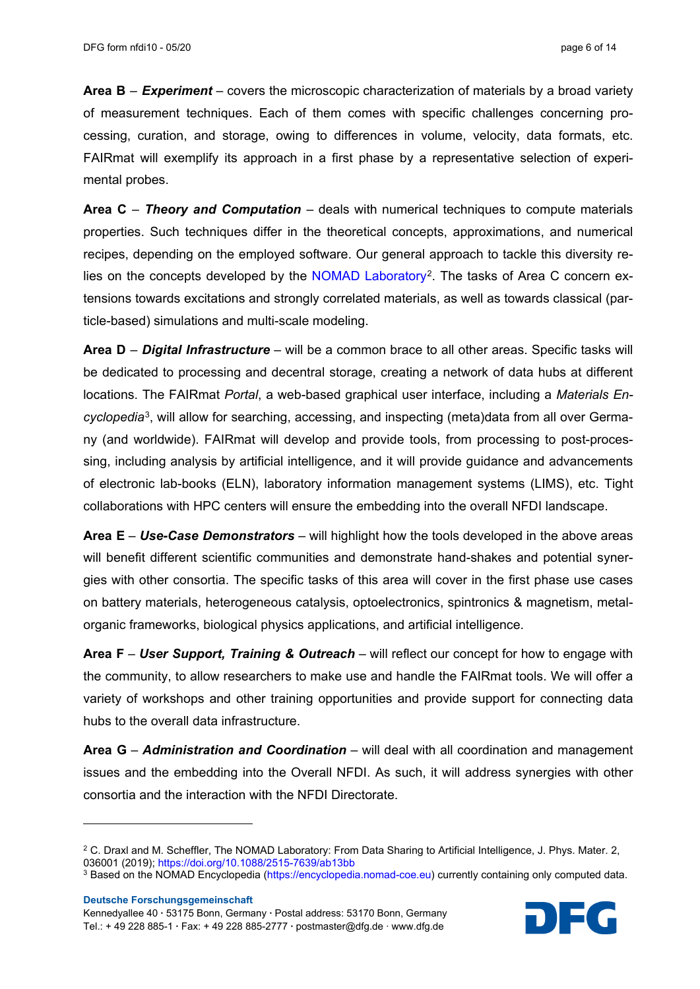**Area B** – *Experiment* – covers the microscopic characterization of materials by a broad variety of measurement techniques. Each of them comes with specific challenges concerning processing, curation, and storage, owing to differences in volume, velocity, data formats, etc. FAIRmat will exemplify its approach in a first phase by a representative selection of experimental probes.

**Area C** – *Theory and Computation* – deals with numerical techniques to compute materials properties. Such techniques differ in the theoretical concepts, approximations, and numerical recipes, depending on the employed software. Our general approach to tackle this diversity re-lies on the concepts developed by the [NOMAD Laboratory](https://nomad-lab.eu/)<sup>[2](#page-5-0)</sup>. The tasks of Area C concern extensions towards excitations and strongly correlated materials, as well as towards classical (particle-based) simulations and multi-scale modeling.

**Area D** – *Digital Infrastructure* – will be a common brace to all other areas. Specific tasks will be dedicated to processing and decentral storage, creating a network of data hubs at different locations. The FAIRmat *Portal*, a web-based graphical user interface, including a *Materials Encyclopedia*[3](#page-5-1), will allow for searching, accessing, and inspecting (meta)data from all over Germany (and worldwide). FAIRmat will develop and provide tools, from processing to post-processing, including analysis by artificial intelligence, and it will provide guidance and advancements of electronic lab-books (ELN), laboratory information management systems (LIMS), etc. Tight collaborations with HPC centers will ensure the embedding into the overall NFDI landscape.

**Area E** – *Use-Case Demonstrators* – will highlight how the tools developed in the above areas will benefit different scientific communities and demonstrate hand-shakes and potential synergies with other consortia. The specific tasks of this area will cover in the first phase use cases on battery materials, heterogeneous catalysis, optoelectronics, spintronics & magnetism, metalorganic frameworks, biological physics applications, and artificial intelligence.

**Area F** – *User Support, Training & Outreach* – will reflect our concept for how to engage with the community, to allow researchers to make use and handle the FAIRmat tools. We will offer a variety of workshops and other training opportunities and provide support for connecting data hubs to the overall data infrastructure.

**Area G** – *Administration and Coordination* – will deal with all coordination and management issues and the embedding into the Overall NFDI. As such, it will address synergies with other consortia and the interaction with the NFDI Directorate.

**Deutsche Forschungsgemeinschaft**



<span id="page-5-0"></span><sup>&</sup>lt;sup>2</sup> C. Draxl and M. Scheffler, The NOMAD Laboratory: From Data Sharing to Artificial Intelligence, J. Phys. Mater. 2, 036001 (2019); <https://doi.org/10.1088/2515-7639/ab13bb>

<span id="page-5-1"></span><sup>3</sup> Based on the NOMAD Encyclopedia [\(https://encyclopedia.nomad-coe.eu\)](https://encyclopedia.nomad-coe.eu/) currently containing only computed data.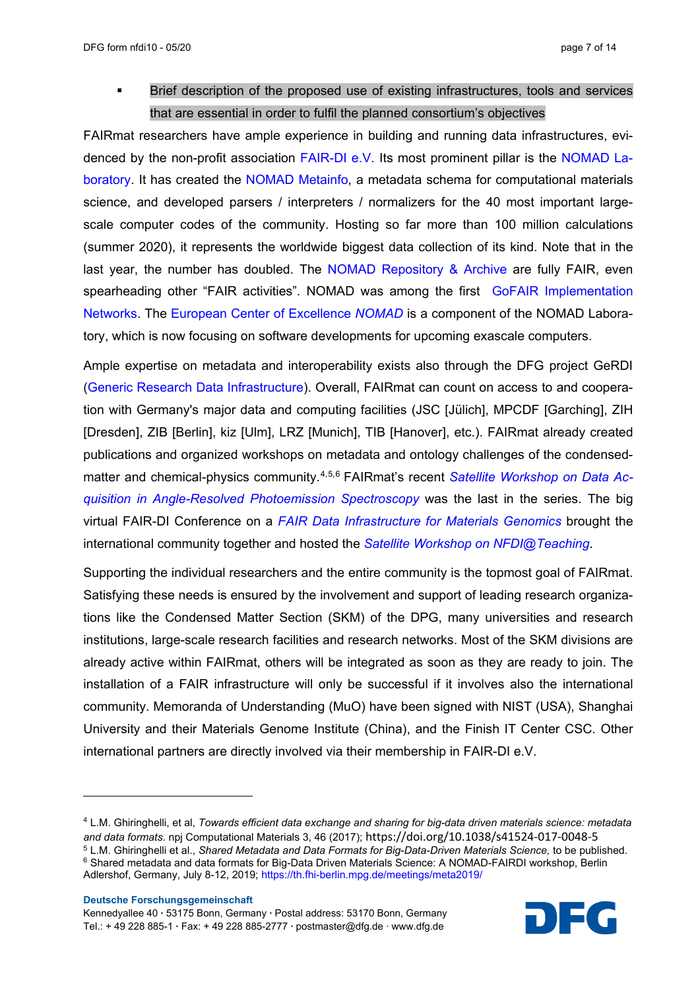Brief description of the proposed use of existing infrastructures, tools and services that are essential in order to fulfil the planned consortium's objectives

FAIRmat researchers have ample experience in building and running data infrastructures, evidenced by the non-profit association [FAIR-DI e.V.](https://fair-di.eu/) Its most prominent pillar is the [NOMAD La](https://nomad-lab.eu/)[boratory.](https://nomad-lab.eu/) It has created the [NOMAD Metainfo,](https://metainfo.nomad-coe.eu/) a metadata schema for computational materials science, and developed parsers / interpreters / normalizers for the 40 most important largescale computer codes of the community. Hosting so far more than 100 million calculations (summer 2020), it represents the worldwide biggest data collection of its kind. Note that in the last year, the number has doubled. The [NOMAD Repository](https://nomad-lab.eu/index.php?page=repo-arch) & Archive are fully FAIR, even spearheading other "FAIR activities". NOMAD was among the first [GoFAIR Implementation](https://www.go-fair.org/implementation-networks/overview/nomad/)  [Networks.](https://www.go-fair.org/implementation-networks/overview/nomad/) The [European Center of Excellence](https://nomad-coe.eu/) *NOMAD* is a component of the NOMAD Laboratory, which is now focusing on software developments for upcoming exascale computers.

Ample expertise on metadata and interoperability exists also through the DFG project GeRDI [\(Generic Research Data Infrastructure\)](https://www.gerdi-project.eu/). Overall, FAIRmat can count on access to and cooperation with Germany's major data and computing facilities (JSC [Jülich], MPCDF [Garching], ZIH [Dresden], ZIB [Berlin], kiz [Ulm], LRZ [Munich], TIB [Hanover], etc.). FAIRmat already created publications and organized workshops on metadata and ontology challenges of the condensedmatter and chemical-physics community.[4,](#page-6-0)[5](#page-6-1),[6](#page-6-2) FAIRmat's recent *[Satellite Workshop on Data Ac](https://th.fhi-berlin.mpg.de/meetings/fairdi2020/index.php?n=Meeting.DataInArpes)[quisition in Angle-Resolved Photoemission Spectroscopy](https://th.fhi-berlin.mpg.de/meetings/fairdi2020/index.php?n=Meeting.DataInArpes)* was the last in the series. The big virtual FAIR-DI Conference on a *[FAIR Data Infrastructure for Materials Genomics](https://th.fhi-berlin.mpg.de/meetings/fairdi2020/index.php?n=Meeting.DataInArpes)* brought the international community together and hosted the *[Satellite Workshop on NFDI@Teaching](https://th.fhi-berlin.mpg.de/meetings/fairdi2020/index.php?n=Meeting.NFDIatTeaching)*.

Supporting the individual researchers and the entire community is the topmost goal of FAIRmat. Satisfying these needs is ensured by the involvement and support of leading research organizations like the Condensed Matter Section (SKM) of the DPG, many universities and research institutions, large-scale research facilities and research networks. Most of the SKM divisions are already active within FAIRmat, others will be integrated as soon as they are ready to join. The installation of a FAIR infrastructure will only be successful if it involves also the international community. Memoranda of Understanding (MuO) have been signed with NIST (USA), Shanghai University and their Materials Genome Institute (China), and the Finish IT Center CSC. Other international partners are directly involved via their membership in FAIR-DI e.V.



<span id="page-6-2"></span><span id="page-6-1"></span><span id="page-6-0"></span><sup>4</sup> L.M. Ghiringhelli, et al, *Towards efficient data exchange and sharing for big-data driven materials science: metadata and data formats*. npj Computational Materials 3, 46 (2017); https://doi.org/10.1038/s41524-017-0048-5 <sup>5</sup> L.M. Ghiringhelli et al., *Shared Metadata and Data Formats for Big-Data-Driven Materials Science,* to be published. <sup>6</sup> Shared metadata and data formats for Big-Data Driven Materials Science: A NOMAD-FAIRDI workshop, Berlin Adlershof, Germany, July 8-12, 2019; <https://th.fhi-berlin.mpg.de/meetings/meta2019/>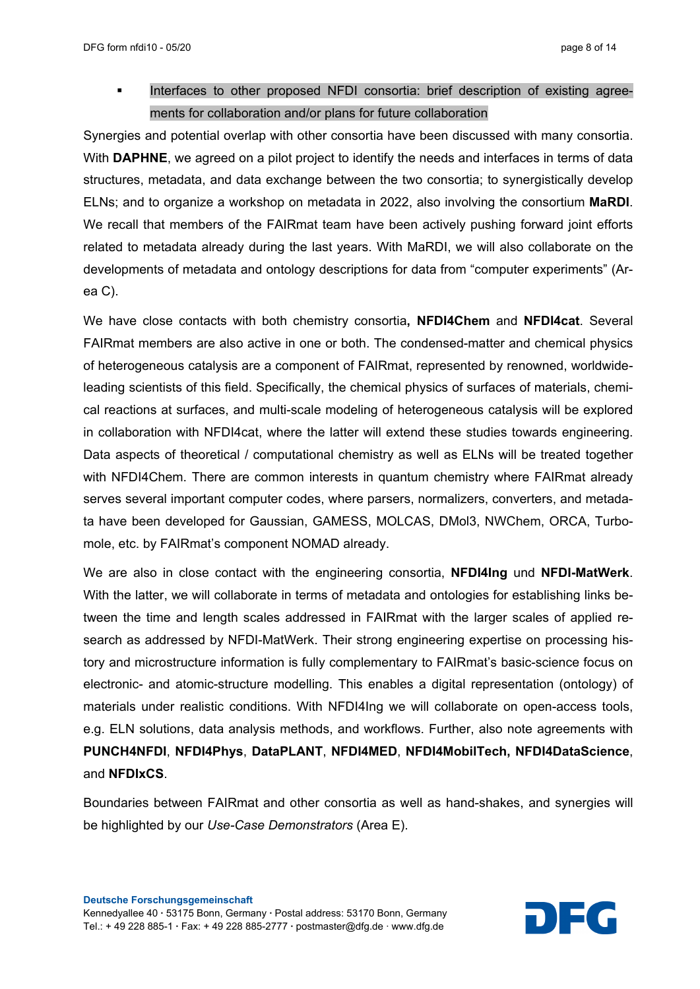Interfaces to other proposed NFDI consortia: brief description of existing agreements for collaboration and/or plans for future collaboration

Synergies and potential overlap with other consortia have been discussed with many consortia. With **DAPHNE**, we agreed on a pilot project to identify the needs and interfaces in terms of data structures, metadata, and data exchange between the two consortia; to synergistically develop ELNs; and to organize a workshop on metadata in 2022, also involving the consortium **MaRDI**. We recall that members of the FAIRmat team have been actively pushing forward joint efforts related to metadata already during the last years. With MaRDI, we will also collaborate on the developments of metadata and ontology descriptions for data from "computer experiments" (Area C).

We have close contacts with both chemistry consortia**, NFDI4Chem** and **NFDI4cat**. Several FAIRmat members are also active in one or both. The condensed-matter and chemical physics of heterogeneous catalysis are a component of FAIRmat, represented by renowned, worldwideleading scientists of this field. Specifically, the chemical physics of surfaces of materials, chemical reactions at surfaces, and multi-scale modeling of heterogeneous catalysis will be explored in collaboration with NFDI4cat, where the latter will extend these studies towards engineering. Data aspects of theoretical / computational chemistry as well as ELNs will be treated together with NFDI4Chem. There are common interests in quantum chemistry where FAIRmat already serves several important computer codes, where parsers, normalizers, converters, and metadata have been developed for Gaussian, GAMESS, MOLCAS, DMol3, NWChem, ORCA, Turbomole, etc. by FAIRmat's component NOMAD already.

We are also in close contact with the engineering consortia, **NFDI4Ing** und **NFDI-MatWerk**. With the latter, we will collaborate in terms of metadata and ontologies for establishing links between the time and length scales addressed in FAIRmat with the larger scales of applied research as addressed by NFDI-MatWerk. Their strong engineering expertise on processing history and microstructure information is fully complementary to FAIRmat's basic-science focus on electronic- and atomic-structure modelling. This enables a digital representation (ontology) of materials under realistic conditions. With NFDI4Ing we will collaborate on open-access tools, e.g. ELN solutions, data analysis methods, and workflows. Further, also note agreements with **PUNCH4NFDI**, **NFDI4Phys**, **DataPLANT**, **NFDI4MED**, **NFDI4MobilTech, NFDI4DataScience**, and **NFDIxCS**.

Boundaries between FAIRmat and other consortia as well as hand-shakes, and synergies will be highlighted by our *Use-Case Demonstrators* (Area E).